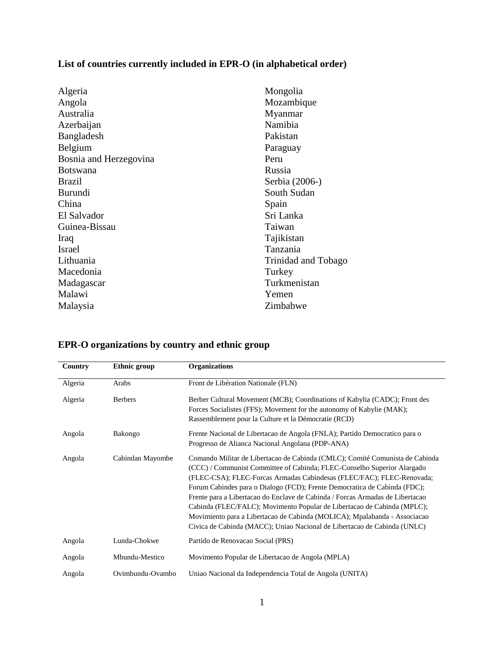## **List of countries currently included in EPR-O (in alphabetical order)**

| Algeria                | Mongolia            |
|------------------------|---------------------|
| Angola                 | Mozambique          |
| Australia              | Myanmar             |
| Azerbaijan             | Namibia             |
| Bangladesh             | Pakistan            |
| Belgium                | Paraguay            |
| Bosnia and Herzegovina | Peru                |
| <b>Botswana</b>        | Russia              |
| <b>Brazil</b>          | Serbia (2006-)      |
| Burundi                | South Sudan         |
| China                  | Spain               |
| El Salvador            | Sri Lanka           |
| Guinea-Bissau          | Taiwan              |
| Iraq                   | Tajikistan          |
| <b>Israel</b>          | Tanzania            |
| Lithuania              | Trinidad and Tobago |
| Macedonia              | Turkey              |
| Madagascar             | Turkmenistan        |
| Malawi                 | Yemen               |
| Malaysia               | Zimbabwe            |
|                        |                     |

| Country | <b>Ethnic group</b> | <b>Organizations</b>                                                                                                                                                                                                                                                                                                                                                                                                                                                                                                                                                                                                               |
|---------|---------------------|------------------------------------------------------------------------------------------------------------------------------------------------------------------------------------------------------------------------------------------------------------------------------------------------------------------------------------------------------------------------------------------------------------------------------------------------------------------------------------------------------------------------------------------------------------------------------------------------------------------------------------|
| Algeria | Arabs               | Front de Libération Nationale (FLN)                                                                                                                                                                                                                                                                                                                                                                                                                                                                                                                                                                                                |
| Algeria | <b>Berbers</b>      | Berber Cultural Movement (MCB); Coordinations of Kabylia (CADC); Front des<br>Forces Socialistes (FFS); Movement for the autonomy of Kabylie (MAK);<br>Rassemblement pour la Culture et la Démocratie (RCD)                                                                                                                                                                                                                                                                                                                                                                                                                        |
| Angola  | Bakongo             | Frente Nacional de Libertacao de Angola (FNLA); Partido Democratico para o<br>Progresso de Alianca Nacional Angolana (PDP-ANA)                                                                                                                                                                                                                                                                                                                                                                                                                                                                                                     |
| Angola  | Cabindan Mayombe    | Comando Militar de Libertacao de Cabinda (CMLC); Comité Comunista de Cabinda<br>(CCC) / Communist Committee of Cabinda; FLEC-Conselho Superior Alargado<br>(FLEC-CSA); FLEC-Forcas Armadas Cabindesas (FLEC/FAC); FLEC-Renovada;<br>Forum Cabindes para o Dialogo (FCD); Frente Democratica de Cabinda (FDC);<br>Frente para a Libertacao do Enclave de Cabinda / Forcas Armadas de Libertacao<br>Cabinda (FLEC/FALC); Movimento Popular de Libertacao de Cabinda (MPLC);<br>Movimiento para a Libertacao de Cabinda (MOLICA); Mpalabanda - Associacao<br>Civica de Cabinda (MACC); Uniao Nacional de Libertacao de Cabinda (UNLC) |
| Angola  | Lunda-Chokwe        | Partido de Renovação Social (PRS)                                                                                                                                                                                                                                                                                                                                                                                                                                                                                                                                                                                                  |
| Angola  | Mbundu-Mestico      | Movimento Popular de Libertacao de Angola (MPLA)                                                                                                                                                                                                                                                                                                                                                                                                                                                                                                                                                                                   |
| Angola  | Ovimbundu-Ovambo    | Uniao Nacional da Independencia Total de Angola (UNITA)                                                                                                                                                                                                                                                                                                                                                                                                                                                                                                                                                                            |

## **EPR-O organizations by country and ethnic group**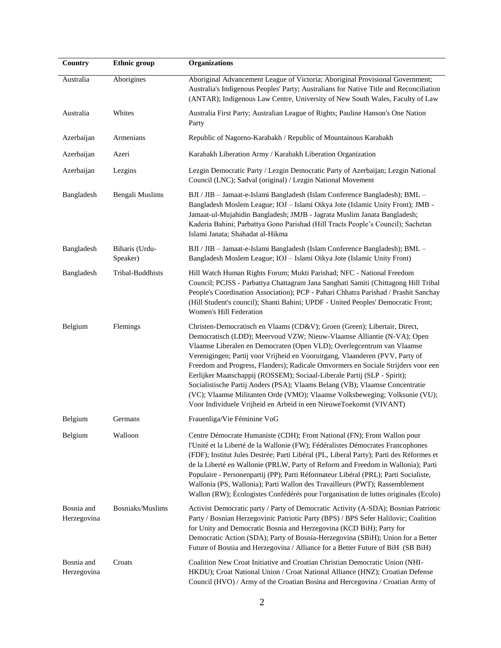| Country                   | <b>Ethnic</b> group        | <b>Organizations</b>                                                                                                                                                                                                                                                                                                                                                                                                                                                                                                                                                                                                                                                                                                |
|---------------------------|----------------------------|---------------------------------------------------------------------------------------------------------------------------------------------------------------------------------------------------------------------------------------------------------------------------------------------------------------------------------------------------------------------------------------------------------------------------------------------------------------------------------------------------------------------------------------------------------------------------------------------------------------------------------------------------------------------------------------------------------------------|
| Australia                 | Aborigines                 | Aboriginal Advancement League of Victoria; Aboriginal Provisional Government;<br>Australia's Indigenous Peoples' Party; Australians for Native Title and Reconciliation<br>(ANTAR); Indigenous Law Centre, University of New South Wales, Faculty of Law                                                                                                                                                                                                                                                                                                                                                                                                                                                            |
| Australia                 | Whites                     | Australia First Party; Australian League of Rights; Pauline Hanson's One Nation<br>Party                                                                                                                                                                                                                                                                                                                                                                                                                                                                                                                                                                                                                            |
| Azerbaijan                | Armenians                  | Republic of Nagorno-Karabakh / Republic of Mountainous Karabakh                                                                                                                                                                                                                                                                                                                                                                                                                                                                                                                                                                                                                                                     |
| Azerbaijan                | Azeri                      | Karabakh Liberation Army / Karabakh Liberation Organization                                                                                                                                                                                                                                                                                                                                                                                                                                                                                                                                                                                                                                                         |
| Azerbaijan                | Lezgins                    | Lezgin Democratic Party / Lezgin Democratic Party of Azerbaijan; Lezgin National<br>Council (LNC); Sadval (original) / Lezgin National Movement                                                                                                                                                                                                                                                                                                                                                                                                                                                                                                                                                                     |
| Bangladesh                | Bengali Muslims            | BJI / JIB - Jamaat-e-Islami Bangladesh (Islam Conference Bangladesh); BML -<br>Bangladesh Moslem League; IOJ - Islami Oikya Jote (Islamic Unity Front); JMB -<br>Jamaat-ul-Mujahidin Bangladesh; JMJB - Jagrata Muslim Janata Bangladesh;<br>Kaderia Bahini; Parbattya Gono Parishad (Hill Tracts People's Council); Sachetan<br>Islami Janata; Shahadat al-Hikma                                                                                                                                                                                                                                                                                                                                                   |
| Bangladesh                | Biharis (Urdu-<br>Speaker) | BJI / JIB - Jamaat-e-Islami Bangladesh (Islam Conference Bangladesh); BML -<br>Bangladesh Moslem League; IOJ - Islami Oikya Jote (Islamic Unity Front)                                                                                                                                                                                                                                                                                                                                                                                                                                                                                                                                                              |
| Bangladesh                | Tribal-Buddhists           | Hill Watch Human Rights Forum; Mukti Parishad; NFC - National Freedom<br>Council; PCJSS - Parbattya Chattagram Jana Sanghati Samiti (Chittagong Hill Tribal<br>People's Coordination Association); PCP - Pahari Chhatra Parishad / Prashit Sanchay<br>(Hill Student's council); Shanti Bahini; UPDF - United Peoples' Democratic Front;<br>Women's Hill Federation                                                                                                                                                                                                                                                                                                                                                  |
| Belgium                   | Flemings                   | Christen-Democratisch en Vlaams (CD&V); Groen (Green); Libertair, Direct,<br>Democratisch (LDD); Meervoud VZW; Nieuw-Vlaamse Alliantie (N-VA); Open<br>Vlaamse Liberalen en Democraten (Open VLD); Overlegcentrum van Vlaamse<br>Verenigingen; Partij voor Vrijheid en Vooruitgang, Vlaanderen (PVV, Party of<br>Freedom and Progress, Flanders); Radicale Omvormers en Sociale Strijders voor een<br>Eerlijker Maatschappij (ROSSEM); Sociaal-Liberale Partij (SLP - Spirit);<br>Socialistische Partij Anders (PSA); Vlaams Belang (VB); Vlaamse Concentratie<br>(VC); Vlaamse Militanten Orde (VMO); Vlaamse Volksbeweging; Volksunie (VU);<br>Voor Individuele Vrijheid en Arbeid in een NieuweToekomst (VIVANT) |
| Belgium                   | Germans                    | Frauenliga/Vie Féminine VoG                                                                                                                                                                                                                                                                                                                                                                                                                                                                                                                                                                                                                                                                                         |
| Belgium                   | Walloon                    | Centre Démocrate Humaniste (CDH); Front National (FN); Front Wallon pour<br>l'Unité et la Liberté de la Wallonie (FW); Fédéralistes Démocrates Francophones<br>(FDF); Institut Jules Destrée; Parti Libéral (PL, Liberal Party); Parti des Réformes et<br>de la Liberté en Wallonie (PRLW, Party of Reform and Freedom in Wallonia); Parti<br>Populaire - Personenpartij (PP); Parti Réformateur Libéral (PRL); Parti Socialiste,<br>Wallonia (PS, Wallonia); Parti Wallon des Travailleurs (PWT); Rassemblement<br>Wallon (RW); Écologistes Confédérés pour l'organisation de luttes originales (Ecolo)                                                                                                            |
| Bosnia and<br>Herzegovina | Bosniaks/Muslims           | Activist Democratic party / Party of Democratic Activity (A-SDA); Bosnian Patriotic<br>Party / Bosnian Herzegovinic Patriotic Party (BPS) / BPS Sefer Halilovic; Coalition<br>for Unity and Democratic Bosnia and Herzegovina (KCD BiH); Party for<br>Democratic Action (SDA); Party of Bosnia-Herzegovina (SBiH); Union for a Better<br>Future of Bosnia and Herzegovina / Alliance for a Better Future of BiH (SB BiH)                                                                                                                                                                                                                                                                                            |
| Bosnia and<br>Herzegovina | Croats                     | Coalition New Croat Initiative and Croatian Christian Democratic Union (NHI-<br>HKDU); Croat National Union / Croat National Alliance (HNZ); Croatian Defense<br>Council (HVO) / Army of the Croatian Bosina and Hercegovina / Croatian Army of                                                                                                                                                                                                                                                                                                                                                                                                                                                                     |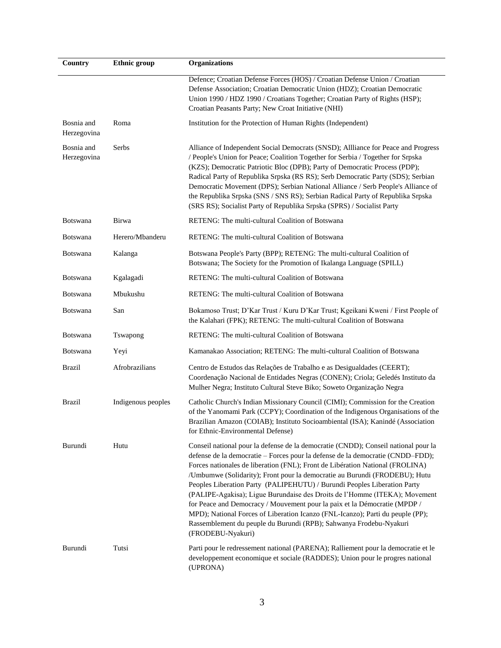| Country                   | <b>Ethnic</b> group | <b>Organizations</b>                                                                                                                                                                                                                                                                                                                                                                                                                                                                                                                                                                                                                                                                                                                                    |
|---------------------------|---------------------|---------------------------------------------------------------------------------------------------------------------------------------------------------------------------------------------------------------------------------------------------------------------------------------------------------------------------------------------------------------------------------------------------------------------------------------------------------------------------------------------------------------------------------------------------------------------------------------------------------------------------------------------------------------------------------------------------------------------------------------------------------|
|                           |                     | Defence; Croatian Defense Forces (HOS) / Croatian Defense Union / Croatian<br>Defense Association; Croatian Democratic Union (HDZ); Croatian Democratic<br>Union 1990 / HDZ 1990 / Croatians Together; Croatian Party of Rights (HSP);<br>Croatian Peasants Party; New Croat Initiative (NHI)                                                                                                                                                                                                                                                                                                                                                                                                                                                           |
| Bosnia and<br>Herzegovina | Roma                | Institution for the Protection of Human Rights (Independent)                                                                                                                                                                                                                                                                                                                                                                                                                                                                                                                                                                                                                                                                                            |
| Bosnia and<br>Herzegovina | Serbs               | Alliance of Independent Social Democrats (SNSD); Allliance for Peace and Progress<br>/ People's Union for Peace; Coalition Together for Serbia / Together for Srpska<br>(KZS); Democratic Patriotic Bloc (DPB); Party of Democratic Process (PDP);<br>Radical Party of Republika Srpska (RS RS); Serb Democratic Party (SDS); Serbian<br>Democratic Movement (DPS); Serbian National Alliance / Serb People's Alliance of<br>the Republika Srpska (SNS / SNS RS); Serbian Radical Party of Republika Srpska<br>(SRS RS); Socialist Party of Republika Srpska (SPRS) / Socialist Party                                                                                                                                                                   |
| <b>Botswana</b>           | Birwa               | RETENG: The multi-cultural Coalition of Botswana                                                                                                                                                                                                                                                                                                                                                                                                                                                                                                                                                                                                                                                                                                        |
| <b>Botswana</b>           | Herero/Mbanderu     | RETENG: The multi-cultural Coalition of Botswana                                                                                                                                                                                                                                                                                                                                                                                                                                                                                                                                                                                                                                                                                                        |
| <b>Botswana</b>           | Kalanga             | Botswana People's Party (BPP); RETENG: The multi-cultural Coalition of<br>Botswana; The Society for the Promotion of Ikalanga Language (SPILL)                                                                                                                                                                                                                                                                                                                                                                                                                                                                                                                                                                                                          |
| <b>Botswana</b>           | Kgalagadi           | RETENG: The multi-cultural Coalition of Botswana                                                                                                                                                                                                                                                                                                                                                                                                                                                                                                                                                                                                                                                                                                        |
| <b>Botswana</b>           | Mbukushu            | RETENG: The multi-cultural Coalition of Botswana                                                                                                                                                                                                                                                                                                                                                                                                                                                                                                                                                                                                                                                                                                        |
| Botswana                  | San                 | Bokamoso Trust; D'Kar Trust / Kuru D'Kar Trust; Kgeikani Kweni / First People of<br>the Kalahari (FPK); RETENG: The multi-cultural Coalition of Botswana                                                                                                                                                                                                                                                                                                                                                                                                                                                                                                                                                                                                |
| <b>Botswana</b>           | Tswapong            | RETENG: The multi-cultural Coalition of Botswana                                                                                                                                                                                                                                                                                                                                                                                                                                                                                                                                                                                                                                                                                                        |
| Botswana                  | Yeyi                | Kamanakao Association; RETENG: The multi-cultural Coalition of Botswana                                                                                                                                                                                                                                                                                                                                                                                                                                                                                                                                                                                                                                                                                 |
| <b>Brazil</b>             | Afrobrazilians      | Centro de Estudos das Relações de Trabalho e as Desigualdades (CEERT);<br>Coordenação Nacional de Entidades Negras (CONEN); Criola; Geledés Instituto da<br>Mulher Negra; Instituto Cultural Steve Biko; Soweto Organização Negra                                                                                                                                                                                                                                                                                                                                                                                                                                                                                                                       |
| <b>Brazil</b>             | Indigenous peoples  | Catholic Church's Indian Missionary Council (CIMI); Commission for the Creation<br>of the Yanomami Park (CCPY); Coordination of the Indigenous Organisations of the<br>Brazilian Amazon (COIAB); Instituto Socioambiental (ISA); Kanindé (Association<br>for Ethnic-Environmental Defense)                                                                                                                                                                                                                                                                                                                                                                                                                                                              |
| Burundi                   | Hutu                | Conseil national pour la defense de la democratie (CNDD); Conseil national pour la<br>defense de la democratie - Forces pour la defense de la democratie (CNDD-FDD);<br>Forces nationales de liberation (FNL); Front de Libération National (FROLINA)<br>/Umbumwe (Solidarity); Front pour la democratie au Burundi (FRODEBU); Hutu<br>Peoples Liberation Party (PALIPEHUTU) / Burundi Peoples Liberation Party<br>(PALIPE-Agakisa); Ligue Burundaise des Droits de l'Homme (ITEKA); Movement<br>for Peace and Democracy / Mouvement pour la paix et la Démocratie (MPDP /<br>MPD); National Forces of Liberation Icanzo (FNL-Icanzo); Parti du peuple (PP);<br>Rassemblement du peuple du Burundi (RPB); Sahwanya Frodebu-Nyakuri<br>(FRODEBU-Nyakuri) |
| Burundi                   | Tutsi               | Parti pour le redressement national (PARENA); Ralliement pour la democratie et le<br>developpement economique et sociale (RADDES); Union pour le progres national<br>(UPRONA)                                                                                                                                                                                                                                                                                                                                                                                                                                                                                                                                                                           |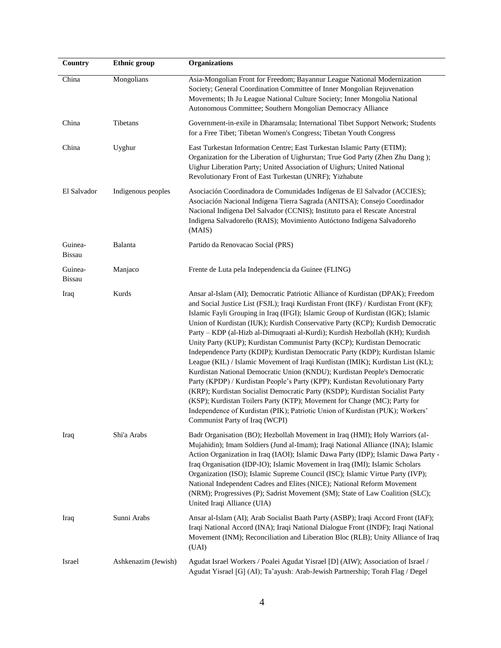| Country                  | <b>Ethnic</b> group | Organizations                                                                                                                                                                                                                                                                                                                                                                                                                                                                                                                                                                                                                                                                                                                                                                                                                                                                                                                                                                                                                                                                                                                |
|--------------------------|---------------------|------------------------------------------------------------------------------------------------------------------------------------------------------------------------------------------------------------------------------------------------------------------------------------------------------------------------------------------------------------------------------------------------------------------------------------------------------------------------------------------------------------------------------------------------------------------------------------------------------------------------------------------------------------------------------------------------------------------------------------------------------------------------------------------------------------------------------------------------------------------------------------------------------------------------------------------------------------------------------------------------------------------------------------------------------------------------------------------------------------------------------|
| China                    | Mongolians          | Asia-Mongolian Front for Freedom; Bayannur League National Modernization<br>Society; General Coordination Committee of Inner Mongolian Rejuvenation<br>Movements; Ih Ju League National Culture Society; Inner Mongolia National<br>Autonomous Committee; Southern Mongolian Democracy Alliance                                                                                                                                                                                                                                                                                                                                                                                                                                                                                                                                                                                                                                                                                                                                                                                                                              |
| China                    | Tibetans            | Government-in-exile in Dharamsala; International Tibet Support Network; Students<br>for a Free Tibet; Tibetan Women's Congress; Tibetan Youth Congress                                                                                                                                                                                                                                                                                                                                                                                                                                                                                                                                                                                                                                                                                                                                                                                                                                                                                                                                                                       |
| China                    | Uyghur              | East Turkestan Information Centre; East Turkestan Islamic Party (ETIM);<br>Organization for the Liberation of Uighurstan; True God Party (Zhen Zhu Dang);<br>Uighur Liberation Party; United Association of Uighurs; United National<br>Revolutionary Front of East Turkestan (UNRF); Yizhabute                                                                                                                                                                                                                                                                                                                                                                                                                                                                                                                                                                                                                                                                                                                                                                                                                              |
| El Salvador              | Indigenous peoples  | Asociación Coordinadora de Comunidades Indígenas de El Salvador (ACCIES);<br>Asociación Nacional Indígena Tierra Sagrada (ANITSA); Consejo Coordinador<br>Nacional Indígena Del Salvador (CCNIS); Instituto para el Rescate Ancestral<br>Indigena Salvadoreño (RAIS); Movimiento Autóctono Indígena Salvadoreño<br>(MAIS)                                                                                                                                                                                                                                                                                                                                                                                                                                                                                                                                                                                                                                                                                                                                                                                                    |
| Guinea-<br><b>Bissau</b> | Balanta             | Partido da Renovacao Social (PRS)                                                                                                                                                                                                                                                                                                                                                                                                                                                                                                                                                                                                                                                                                                                                                                                                                                                                                                                                                                                                                                                                                            |
| Guinea-<br><b>Bissau</b> | Manjaco             | Frente de Luta pela Independencia da Guinee (FLING)                                                                                                                                                                                                                                                                                                                                                                                                                                                                                                                                                                                                                                                                                                                                                                                                                                                                                                                                                                                                                                                                          |
| Iraq                     | Kurds               | Ansar al-Islam (AI); Democratic Patriotic Alliance of Kurdistan (DPAK); Freedom<br>and Social Justice List (FSJL); Iraqi Kurdistan Front (IKF) / Kurdistan Front (KF);<br>Islamic Fayli Grouping in Iraq (IFGI); Islamic Group of Kurdistan (IGK); Islamic<br>Union of Kurdistan (IUK); Kurdish Conservative Party (KCP); Kurdish Democratic<br>Party - KDP (al-Hizb al-Dimuqraati al-Kurdi); Kurdish Hezbollah (KH); Kurdish<br>Unity Party (KUP); Kurdistan Communist Party (KCP); Kurdistan Democratic<br>Independence Party (KDIP); Kurdistan Democratic Party (KDP); Kurdistan Islamic<br>League (KIL) / Islamic Movement of Iraqi Kurdistan (IMIK); Kurdistan List (KL);<br>Kurdistan National Democratic Union (KNDU); Kurdistan People's Democratic<br>Party (KPDP) / Kurdistan People's Party (KPP); Kurdistan Revolutionary Party<br>(KRP); Kurdistan Socialist Democratic Party (KSDP); Kurdistan Socialist Party<br>(KSP); Kurdistan Toilers Party (KTP); Movement for Change (MC); Party for<br>Independence of Kurdistan (PIK); Patriotic Union of Kurdistan (PUK); Workers'<br>Communist Party of Iraq (WCPI) |
| Iraq                     | Shi'a Arabs         | Badr Organisation (BO); Hezbollah Movement in Iraq (HMI); Holy Warriors (al-<br>Mujahidin); Imam Soldiers (Jund al-Imam); Iraqi National Alliance (INA); Islamic<br>Action Organization in Iraq (IAOI); Islamic Dawa Party (IDP); Islamic Dawa Party -<br>Iraq Organisation (IDP-IO); Islamic Movement in Iraq (IMI); Islamic Scholars<br>Organization (ISO); Islamic Supreme Council (ISC); Islamic Virtue Party (IVP);<br>National Independent Cadres and Elites (NICE); National Reform Movement<br>(NRM); Progressives (P); Sadrist Movement (SM); State of Law Coalition (SLC);<br>United Iraqi Alliance (UIA)                                                                                                                                                                                                                                                                                                                                                                                                                                                                                                          |
| Iraq                     | Sunni Arabs         | Ansar al-Islam (AI); Arab Socialist Baath Party (ASBP); Iraqi Accord Front (IAF);<br>Iraqi National Accord (INA); Iraqi National Dialogue Front (INDF); Iraqi National<br>Movement (INM); Reconciliation and Liberation Bloc (RLB); Unity Alliance of Iraq<br>(UAI)                                                                                                                                                                                                                                                                                                                                                                                                                                                                                                                                                                                                                                                                                                                                                                                                                                                          |
| Israel                   | Ashkenazim (Jewish) | Agudat Israel Workers / Poalei Agudat Yisrael [D] (AIW); Association of Israel /<br>Agudat Yisrael [G] (AI); Ta'ayush: Arab-Jewish Partnership; Torah Flag / Degel                                                                                                                                                                                                                                                                                                                                                                                                                                                                                                                                                                                                                                                                                                                                                                                                                                                                                                                                                           |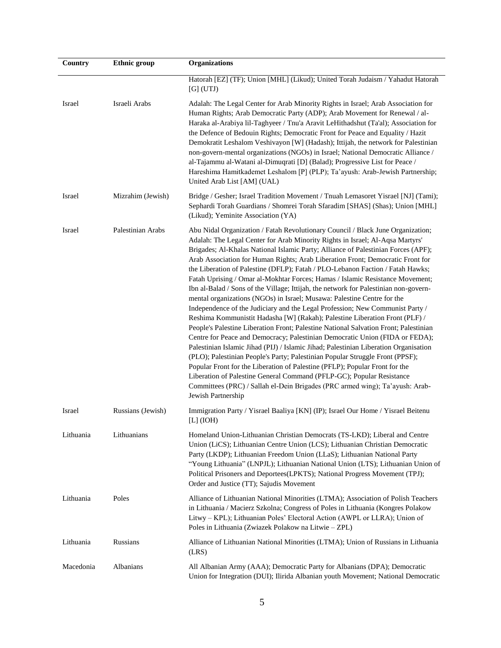| Country   | <b>Ethnic</b> group | Organizations                                                                                                                                                                                                                                                                                                                                                                                                                                                                                                                                                                                                                                                                                                                                                                                                                                                                                                                                                                                                                                                                                                                                                                                                                                                                                                                                                                                                                                                |
|-----------|---------------------|--------------------------------------------------------------------------------------------------------------------------------------------------------------------------------------------------------------------------------------------------------------------------------------------------------------------------------------------------------------------------------------------------------------------------------------------------------------------------------------------------------------------------------------------------------------------------------------------------------------------------------------------------------------------------------------------------------------------------------------------------------------------------------------------------------------------------------------------------------------------------------------------------------------------------------------------------------------------------------------------------------------------------------------------------------------------------------------------------------------------------------------------------------------------------------------------------------------------------------------------------------------------------------------------------------------------------------------------------------------------------------------------------------------------------------------------------------------|
|           |                     | Hatorah [EZ] (TF); Union [MHL] (Likud); United Torah Judaism / Yahadut Hatorah<br>$[G]$ (UTJ)                                                                                                                                                                                                                                                                                                                                                                                                                                                                                                                                                                                                                                                                                                                                                                                                                                                                                                                                                                                                                                                                                                                                                                                                                                                                                                                                                                |
| Israel    | Israeli Arabs       | Adalah: The Legal Center for Arab Minority Rights in Israel; Arab Association for<br>Human Rights; Arab Democratic Party (ADP); Arab Movement for Renewal / al-<br>Haraka al-Arabiya lil-Taghyeer / Tnu'a Aravit LeHithadshut (Ta'al); Association for<br>the Defence of Bedouin Rights; Democratic Front for Peace and Equality / Hazit<br>Demokratit Leshalom Veshivayon [W] (Hadash); Ittijah, the network for Palestinian<br>non-govern-mental organizations (NGOs) in Israel; National Democratic Alliance /<br>al-Tajammu al-Watani al-Dimuqrati [D] (Balad); Progressive List for Peace /<br>Hareshima Hamitkademet Leshalom [P] (PLP); Ta'ayush: Arab-Jewish Partnership;<br>United Arab List [AM] (UAL)                                                                                                                                                                                                                                                                                                                                                                                                                                                                                                                                                                                                                                                                                                                                             |
| Israel    | Mizrahim (Jewish)   | Bridge / Gesher; Israel Tradition Movement / Tnuah Lemasoret Yisrael [NJ] (Tami);<br>Sephardi Torah Guardians / Shomrei Torah Sfaradim [SHAS] (Shas); Union [MHL]<br>(Likud); Yeminite Association (YA)                                                                                                                                                                                                                                                                                                                                                                                                                                                                                                                                                                                                                                                                                                                                                                                                                                                                                                                                                                                                                                                                                                                                                                                                                                                      |
| Israel    | Palestinian Arabs   | Abu Nidal Organization / Fatah Revolutionary Council / Black June Organization;<br>Adalah: The Legal Center for Arab Minority Rights in Israel; Al-Aqsa Martyrs'<br>Brigades; Al-Khalas National Islamic Party; Alliance of Palestinian Forces (APF);<br>Arab Association for Human Rights; Arab Liberation Front; Democratic Front for<br>the Liberation of Palestine (DFLP); Fatah / PLO-Lebanon Faction / Fatah Hawks;<br>Fatah Uprising / Omar al-Mokhtar Forces; Hamas / Islamic Resistance Movement;<br>Ibn al-Balad / Sons of the Village; Ittijah, the network for Palestinian non-govern-<br>mental organizations (NGOs) in Israel; Musawa: Palestine Centre for the<br>Independence of the Judiciary and the Legal Profession; New Communist Party /<br>Reshima Kommunistit Hadasha [W] (Rakah); Palestine Liberation Front (PLF) /<br>People's Palestine Liberation Front; Palestine National Salvation Front; Palestinian<br>Centre for Peace and Democracy; Palestinian Democratic Union (FIDA or FEDA);<br>Palestinian Islamic Jihad (PIJ) / Islamic Jihad; Palestinian Liberation Organisation<br>(PLO); Palestinian People's Party; Palestinian Popular Struggle Front (PPSF);<br>Popular Front for the Liberation of Palestine (PFLP); Popular Front for the<br>Liberation of Palestine General Command (PFLP-GC); Popular Resistance<br>Committees (PRC) / Sallah el-Dein Brigades (PRC armed wing); Ta'ayush: Arab-<br>Jewish Partnership |
| Israel    | Russians (Jewish)   | Immigration Party / Yisrael Baaliya [KN] (IP); Israel Our Home / Yisrael Beitenu<br>$[L]$ (IOH)                                                                                                                                                                                                                                                                                                                                                                                                                                                                                                                                                                                                                                                                                                                                                                                                                                                                                                                                                                                                                                                                                                                                                                                                                                                                                                                                                              |
| Lithuania | Lithuanians         | Homeland Union-Lithuanian Christian Democrats (TS-LKD); Liberal and Centre<br>Union (LiCS); Lithuanian Centre Union (LCS); Lithuanian Christian Democratic<br>Party (LKDP); Lithuanian Freedom Union (LLaS); Lithuanian National Party<br>"Young Lithuania" (LNPJL); Lithuanian National Union (LTS); Lithuanian Union of<br>Political Prisoners and Deportees(LPKTS); National Progress Movement (TPJ);<br>Order and Justice (TT); Sajudis Movement                                                                                                                                                                                                                                                                                                                                                                                                                                                                                                                                                                                                                                                                                                                                                                                                                                                                                                                                                                                                         |
| Lithuania | Poles               | Alliance of Lithuanian National Minorities (LTMA); Association of Polish Teachers<br>in Lithuania / Macierz Szkolna; Congress of Poles in Lithuania (Kongres Polakow<br>Litwy – KPL); Lithuanian Poles' Electoral Action (AWPL or LLRA); Union of<br>Poles in Lithuania (Zwiazek Polakow na Litwie – ZPL)                                                                                                                                                                                                                                                                                                                                                                                                                                                                                                                                                                                                                                                                                                                                                                                                                                                                                                                                                                                                                                                                                                                                                    |
| Lithuania | Russians            | Alliance of Lithuanian National Minorities (LTMA); Union of Russians in Lithuania<br>(LRS)                                                                                                                                                                                                                                                                                                                                                                                                                                                                                                                                                                                                                                                                                                                                                                                                                                                                                                                                                                                                                                                                                                                                                                                                                                                                                                                                                                   |
| Macedonia | Albanians           | All Albanian Army (AAA); Democratic Party for Albanians (DPA); Democratic<br>Union for Integration (DUI); Ilirida Albanian youth Movement; National Democratic                                                                                                                                                                                                                                                                                                                                                                                                                                                                                                                                                                                                                                                                                                                                                                                                                                                                                                                                                                                                                                                                                                                                                                                                                                                                                               |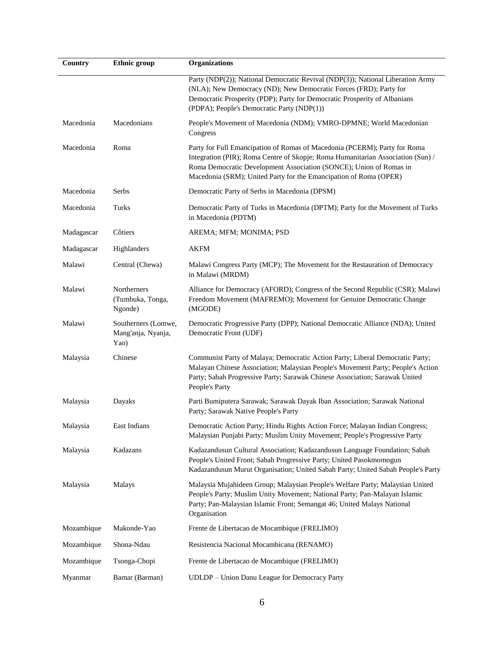| Country    | <b>Ethnic</b> group                               | <b>Organizations</b>                                                                                                                                                                                                                                                                                    |
|------------|---------------------------------------------------|---------------------------------------------------------------------------------------------------------------------------------------------------------------------------------------------------------------------------------------------------------------------------------------------------------|
|            |                                                   | Party (NDP(2)); National Democratic Revival (NDP(3)); National Liberation Army<br>(NLA); New Democracy (ND); New Democratic Forces (FRD); Party for<br>Democratic Prosperity (PDP); Party for Democratic Prosperity of Albanians<br>(PDPA); People's Democratic Party (NDP(1))                          |
| Macedonia  | Macedonians                                       | People's Movement of Macedonia (NDM); VMRO-DPMNE; World Macedonian<br>Congress                                                                                                                                                                                                                          |
| Macedonia  | Roma                                              | Party for Full Emancipation of Romas of Macedonia (PCERM); Party for Roma<br>Integration (PIR); Roma Centre of Skopje; Roma Humanitarian Association (Sun) /<br>Roma Democratic Development Association (SONCE); Union of Romas in<br>Macedonia (SRM); United Party for the Emancipation of Roma (OPER) |
| Macedonia  | Serbs                                             | Democratic Party of Serbs in Macedonia (DPSM)                                                                                                                                                                                                                                                           |
| Macedonia  | Turks                                             | Democratic Party of Turks in Macedonia (DPTM); Party for the Movement of Turks<br>in Macedonia (PDTM)                                                                                                                                                                                                   |
| Madagascar | Côtiers                                           | AREMA; MFM; MONIMA; PSD                                                                                                                                                                                                                                                                                 |
| Madagascar | Highlanders                                       | <b>AKFM</b>                                                                                                                                                                                                                                                                                             |
| Malawi     | Central (Chewa)                                   | Malawi Congress Party (MCP); The Movement for the Restauration of Democracy<br>in Malawi (MRDM)                                                                                                                                                                                                         |
| Malawi     | <b>Northerners</b><br>(Tumbuka, Tonga,<br>Ngonde) | Alliance for Democracy (AFORD); Congress of the Second Republic (CSR); Malawi<br>Freedom Movement (MAFREMO); Movement for Genuine Democratic Change<br>(MGODE)                                                                                                                                          |
| Malawi     | Southerners (Lomwe,<br>Mang'anja, Nyanja,<br>Yao) | Democratic Progressive Party (DPP); National Democratic Alliance (NDA); United<br>Democratic Front (UDF)                                                                                                                                                                                                |
| Malaysia   | Chinese                                           | Communist Party of Malaya; Democratic Action Party; Liberal Democratic Party;<br>Malayan Chinese Association; Malaysian People's Movement Party; People's Action<br>Party; Sabah Progressive Party; Sarawak Chinese Association; Sarawak United<br>People's Party                                       |
| Malaysia   | Dayaks                                            | Parti Bumiputera Sarawak; Sarawak Dayak Iban Association; Sarawak National<br>Party; Sarawak Native People's Party                                                                                                                                                                                      |
| Malaysia   | East Indians                                      | Democratic Action Party; Hindu Rights Action Force; Malayan Indian Congress;<br>Malaysian Punjabi Party; Muslim Unity Movement; People's Progressive Party                                                                                                                                              |
| Malaysia   | Kadazans                                          | Kadazandusun Cultural Association; Kadazandusun Language Foundation; Sabah<br>People's United Front; Sabah Progressive Party; United Pasokmomogun<br>Kadazandusun Murut Organisation; United Sabah Party; United Sabah People's Party                                                                   |
| Malaysia   | Malays                                            | Malaysia Mujahideen Group; Malaysian People's Welfare Party; Malaysian United<br>People's Party; Muslim Unity Movement; National Party; Pan-Malayan Islamic<br>Party; Pan-Malaysian Islamic Front; Semangat 46; United Malays National<br>Organisation                                                  |
| Mozambique | Makonde-Yao                                       | Frente de Libertacao de Mocambique (FRELIMO)                                                                                                                                                                                                                                                            |
| Mozambique | Shona-Ndau                                        | Resistencia Nacional Mocambicana (RENAMO)                                                                                                                                                                                                                                                               |
| Mozambique | Tsonga-Chopi                                      | Frente de Libertacao de Mocambique (FRELIMO)                                                                                                                                                                                                                                                            |
| Myanmar    | Bamar (Barman)                                    | UDLDP - Union Danu League for Democracy Party                                                                                                                                                                                                                                                           |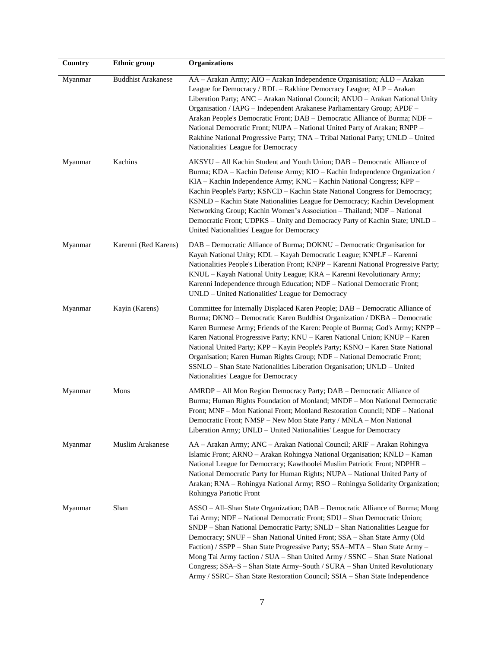| Country | <b>Ethnic</b> group       | <b>Organizations</b>                                                                                                                                                                                                                                                                                                                                                                                                                                                                                                                                                                                                                          |
|---------|---------------------------|-----------------------------------------------------------------------------------------------------------------------------------------------------------------------------------------------------------------------------------------------------------------------------------------------------------------------------------------------------------------------------------------------------------------------------------------------------------------------------------------------------------------------------------------------------------------------------------------------------------------------------------------------|
| Myanmar | <b>Buddhist Arakanese</b> | AA - Arakan Army; AIO - Arakan Independence Organisation; ALD - Arakan<br>League for Democracy / RDL - Rakhine Democracy League; ALP - Arakan<br>Liberation Party; ANC - Arakan National Council; ANUO - Arakan National Unity<br>Organisation / IAPG - Independent Arakanese Parliamentary Group; APDF -<br>Arakan People's Democratic Front; DAB - Democratic Alliance of Burma; NDF -<br>National Democratic Front; NUPA - National United Party of Arakan; RNPP -<br>Rakhine National Progressive Party; TNA - Tribal National Party; UNLD - United<br>Nationalities' League for Democracy                                                |
| Myanmar | Kachins                   | AKSYU – All Kachin Student and Youth Union; DAB – Democratic Alliance of<br>Burma; KDA - Kachin Defense Army; KIO - Kachin Independence Organization /<br>KIA - Kachin Independence Army; KNC - Kachin National Congress; KPP -<br>Kachin People's Party; KSNCD - Kachin State National Congress for Democracy;<br>KSNLD - Kachin State Nationalities League for Democracy; Kachin Development<br>Networking Group; Kachin Women's Association - Thailand; NDF - National<br>Democratic Front; UDPKS - Unity and Democracy Party of Kachin State; UNLD -<br>United Nationalities' League for Democracy                                        |
| Myanmar | Karenni (Red Karens)      | DAB – Democratic Alliance of Burma; DOKNU – Democratic Organisation for<br>Kayah National Unity; KDL - Kayah Democratic League; KNPLF - Karenni<br>Nationalities People's Liberation Front; KNPP - Karenni National Progressive Party;<br>KNUL - Kayah National Unity League; KRA - Karenni Revolutionary Army;<br>Karenni Independence through Education; NDF - National Democratic Front;<br>UNLD – United Nationalities' League for Democracy                                                                                                                                                                                              |
| Myanmar | Kayin (Karens)            | Committee for Internally Displaced Karen People; DAB – Democratic Alliance of<br>Burma; DKNO - Democratic Karen Buddhist Organization / DKBA - Democratic<br>Karen Burmese Army; Friends of the Karen: People of Burma; God's Army; KNPP -<br>Karen National Progressive Party; KNU - Karen National Union; KNUP - Karen<br>National United Party; KPP - Kayin People's Party; KSNO - Karen State National<br>Organisation; Karen Human Rights Group; NDF - National Democratic Front;<br>SSNLO - Shan State Nationalities Liberation Organisation; UNLD - United<br>Nationalities' League for Democracy                                      |
| Myanmar | Mons                      | AMRDP - All Mon Region Democracy Party; DAB - Democratic Alliance of<br>Burma; Human Rights Foundation of Monland; MNDF – Mon National Democratic<br>Front; MNF - Mon National Front; Monland Restoration Council; NDF - National<br>Democratic Front; NMSP - New Mon State Party / MNLA - Mon National<br>Liberation Army; UNLD – United Nationalities' League for Democracy                                                                                                                                                                                                                                                                 |
| Myanmar | Muslim Arakanese          | AA – Arakan Army; ANC – Arakan National Council; ARIF – Arakan Rohingya<br>Islamic Front; ARNO – Arakan Rohingya National Organisation; KNLD – Kaman<br>National League for Democracy; Kawthoolei Muslim Patriotic Front; NDPHR -<br>National Democratic Party for Human Rights; NUPA - National United Party of<br>Arakan; RNA - Rohingya National Army; RSO - Rohingya Solidarity Organization;<br>Rohingya Pariotic Front                                                                                                                                                                                                                  |
| Myanmar | Shan                      | ASSO – All–Shan State Organization; DAB – Democratic Alliance of Burma; Mong<br>Tai Army; NDF - National Democratic Front; SDU - Shan Democratic Union;<br>SNDP – Shan National Democratic Party; SNLD – Shan Nationalities League for<br>Democracy; SNUF - Shan National United Front; SSA - Shan State Army (Old<br>Faction) / SSPP - Shan State Progressive Party; SSA-MTA - Shan State Army -<br>Mong Tai Army faction / SUA - Shan United Army / SSNC - Shan State National<br>Congress; SSA-S - Shan State Army-South / SURA - Shan United Revolutionary<br>Army / SSRC- Shan State Restoration Council; SSIA - Shan State Independence |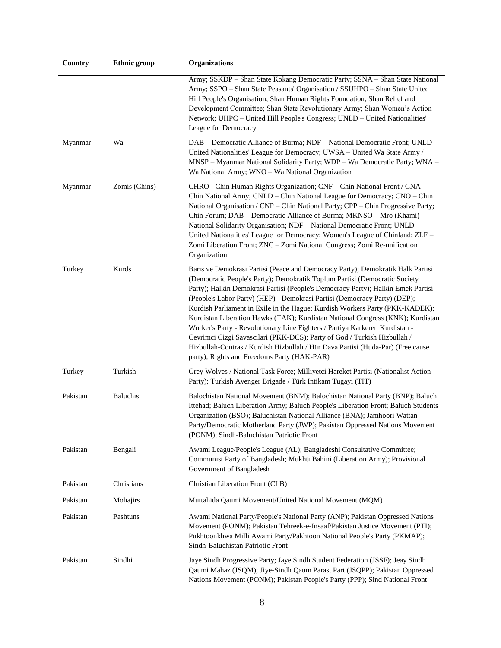| Country  | <b>Ethnic</b> group | <b>Organizations</b>                                                                                                                                                                                                                                                                                                                                                                                                                                                                                                                                                                                                                                                                                                                                                                          |
|----------|---------------------|-----------------------------------------------------------------------------------------------------------------------------------------------------------------------------------------------------------------------------------------------------------------------------------------------------------------------------------------------------------------------------------------------------------------------------------------------------------------------------------------------------------------------------------------------------------------------------------------------------------------------------------------------------------------------------------------------------------------------------------------------------------------------------------------------|
|          |                     | Army; SSKDP - Shan State Kokang Democratic Party; SSNA - Shan State National<br>Army; SSPO - Shan State Peasants' Organisation / SSUHPO - Shan State United<br>Hill People's Organisation; Shan Human Rights Foundation; Shan Relief and<br>Development Committee; Shan State Revolutionary Army; Shan Women's Action<br>Network; UHPC - United Hill People's Congress; UNLD - United Nationalities'<br>League for Democracy                                                                                                                                                                                                                                                                                                                                                                  |
| Myanmar  | Wa                  | DAB – Democratic Alliance of Burma; NDF – National Democratic Front; UNLD –<br>United Nationalities' League for Democracy; UWSA - United Wa State Army /<br>MNSP - Myanmar National Solidarity Party; WDP - Wa Democratic Party; WNA -<br>Wa National Army; WNO - Wa National Organization                                                                                                                                                                                                                                                                                                                                                                                                                                                                                                    |
| Myanmar  | Zomis (Chins)       | CHRO - Chin Human Rights Organization; CNF – Chin National Front / CNA –<br>Chin National Army; CNLD - Chin National League for Democracy; CNO - Chin<br>National Organisation / CNP - Chin National Party; CPP - Chin Progressive Party;<br>Chin Forum; DAB - Democratic Alliance of Burma; MKNSO - Mro (Khami)<br>National Solidarity Organisation; NDF - National Democratic Front; UNLD -<br>United Nationalities' League for Democracy; Women's League of Chinland; ZLF -<br>Zomi Liberation Front; ZNC - Zomi National Congress; Zomi Re-unification<br>Organization                                                                                                                                                                                                                    |
| Turkey   | Kurds               | Baris ve Demokrasi Partisi (Peace and Democracy Party); Demokratik Halk Partisi<br>(Democratic People's Party); Demokratik Toplum Partisi (Democratic Society<br>Party); Halkin Demokrasi Partisi (People's Democracy Party); Halkin Emek Partisi<br>(People's Labor Party) (HEP) - Demokrasi Partisi (Democracy Party) (DEP);<br>Kurdish Parliament in Exile in the Hague; Kurdish Workers Party (PKK-KADEK);<br>Kurdistan Liberation Hawks (TAK); Kurdistan National Congress (KNK); Kurdistan<br>Worker's Party - Revolutionary Line Fighters / Partiya Karkeren Kurdistan -<br>Cevrimci Cizgi Savascilari (PKK-DCS); Party of God / Turkish Hizbullah /<br>Hizbullah-Contras / Kurdish Hizbullah / Hür Dava Partisi (Huda-Par) (Free cause<br>party); Rights and Freedoms Party (HAK-PAR) |
| Turkey   | Turkish             | Grey Wolves / National Task Force; Milliyetci Hareket Partisi (Nationalist Action<br>Party); Turkish Avenger Brigade / Türk Intikam Tugayi (TIT)                                                                                                                                                                                                                                                                                                                                                                                                                                                                                                                                                                                                                                              |
| Pakistan | <b>Baluchis</b>     | Balochistan National Movement (BNM); Balochistan National Party (BNP); Baluch<br>Ittehad; Baluch Liberation Army; Baluch People's Liberation Front; Baluch Students<br>Organization (BSO); Baluchistan National Alliance (BNA); Jamhoori Wattan<br>Party/Democratic Motherland Party (JWP); Pakistan Oppressed Nations Movement<br>(PONM); Sindh-Baluchistan Patriotic Front                                                                                                                                                                                                                                                                                                                                                                                                                  |
| Pakistan | Bengali             | Awami League/People's League (AL); Bangladeshi Consultative Committee;<br>Communist Party of Bangladesh; Mukhti Bahini (Liberation Army); Provisional<br>Government of Bangladesh                                                                                                                                                                                                                                                                                                                                                                                                                                                                                                                                                                                                             |
| Pakistan | Christians          | Christian Liberation Front (CLB)                                                                                                                                                                                                                                                                                                                                                                                                                                                                                                                                                                                                                                                                                                                                                              |
| Pakistan | Mohajirs            | Muttahida Qaumi Movement/United National Movement (MQM)                                                                                                                                                                                                                                                                                                                                                                                                                                                                                                                                                                                                                                                                                                                                       |
| Pakistan | Pashtuns            | Awami National Party/People's National Party (ANP); Pakistan Oppressed Nations<br>Movement (PONM); Pakistan Tehreek-e-Insaaf/Pakistan Justice Movement (PTI);<br>Pukhtoonkhwa Milli Awami Party/Pakhtoon National People's Party (PKMAP);<br>Sindh-Baluchistan Patriotic Front                                                                                                                                                                                                                                                                                                                                                                                                                                                                                                                |
| Pakistan | Sindhi              | Jaye Sindh Progressive Party; Jaye Sindh Student Federation (JSSF); Jeay Sindh<br>Qaumi Mahaz (JSQM); Jiye-Sindh Qaum Parast Part (JSQPP); Pakistan Oppressed<br>Nations Movement (PONM); Pakistan People's Party (PPP); Sind National Front                                                                                                                                                                                                                                                                                                                                                                                                                                                                                                                                                  |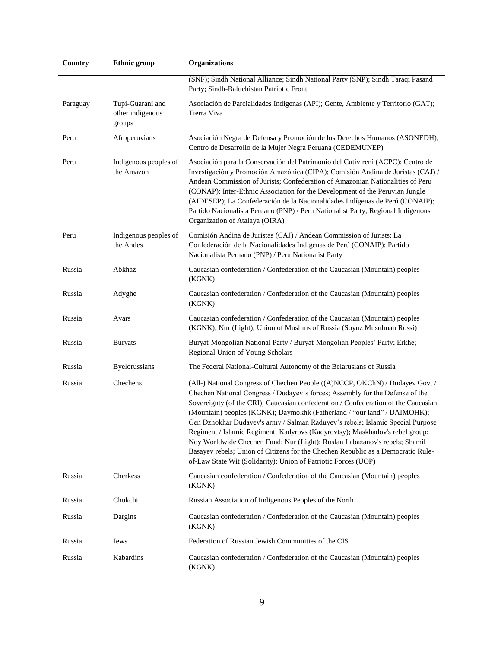| Country  | <b>Ethnic</b> group                            | <b>Organizations</b>                                                                                                                                                                                                                                                                                                                                                                                                                                                                                                                                                                                                                                                                                                                  |
|----------|------------------------------------------------|---------------------------------------------------------------------------------------------------------------------------------------------------------------------------------------------------------------------------------------------------------------------------------------------------------------------------------------------------------------------------------------------------------------------------------------------------------------------------------------------------------------------------------------------------------------------------------------------------------------------------------------------------------------------------------------------------------------------------------------|
|          |                                                | (SNF); Sindh National Alliance; Sindh National Party (SNP); Sindh Taraqi Pasand<br>Party; Sindh-Baluchistan Patriotic Front                                                                                                                                                                                                                                                                                                                                                                                                                                                                                                                                                                                                           |
| Paraguay | Tupi-Guaraní and<br>other indigenous<br>groups | Asociación de Parcialidades Indígenas (API); Gente, Ambiente y Territorio (GAT);<br>Tierra Viva                                                                                                                                                                                                                                                                                                                                                                                                                                                                                                                                                                                                                                       |
| Peru     | Afroperuvians                                  | Asociación Negra de Defensa y Promoción de los Derechos Humanos (ASONEDH);<br>Centro de Desarrollo de la Mujer Negra Peruana (CEDEMUNEP)                                                                                                                                                                                                                                                                                                                                                                                                                                                                                                                                                                                              |
| Peru     | Indigenous peoples of<br>the Amazon            | Asociación para la Conservación del Patrimonio del Cutivireni (ACPC); Centro de<br>Investigación y Promoción Amazónica (CIPA); Comisión Andina de Juristas (CAJ) /<br>Andean Commission of Jurists; Confederation of Amazonian Nationalities of Peru<br>(CONAP); Inter-Ethnic Association for the Development of the Peruvian Jungle<br>(AIDESEP); La Confederación de la Nacionalidades Indígenas de Perú (CONAIP);<br>Partido Nacionalista Peruano (PNP) / Peru Nationalist Party; Regional Indigenous<br>Organization of Atalaya (OIRA)                                                                                                                                                                                            |
| Peru     | Indigenous peoples of<br>the Andes             | Comisión Andina de Juristas (CAJ) / Andean Commission of Jurists; La<br>Confederación de la Nacionalidades Indígenas de Perú (CONAIP); Partido<br>Nacionalista Peruano (PNP) / Peru Nationalist Party                                                                                                                                                                                                                                                                                                                                                                                                                                                                                                                                 |
| Russia   | Abkhaz                                         | Caucasian confederation / Confederation of the Caucasian (Mountain) peoples<br>(KGNK)                                                                                                                                                                                                                                                                                                                                                                                                                                                                                                                                                                                                                                                 |
| Russia   | Adyghe                                         | Caucasian confederation / Confederation of the Caucasian (Mountain) peoples<br>(KGNK)                                                                                                                                                                                                                                                                                                                                                                                                                                                                                                                                                                                                                                                 |
| Russia   | Avars                                          | Caucasian confederation / Confederation of the Caucasian (Mountain) peoples<br>(KGNK); Nur (Light); Union of Muslims of Russia (Soyuz Musulman Rossi)                                                                                                                                                                                                                                                                                                                                                                                                                                                                                                                                                                                 |
| Russia   | <b>Buryats</b>                                 | Buryat-Mongolian National Party / Buryat-Mongolian Peoples' Party; Erkhe;<br>Regional Union of Young Scholars                                                                                                                                                                                                                                                                                                                                                                                                                                                                                                                                                                                                                         |
| Russia   | Byelorussians                                  | The Federal National-Cultural Autonomy of the Belarusians of Russia                                                                                                                                                                                                                                                                                                                                                                                                                                                                                                                                                                                                                                                                   |
| Russia   | Chechens                                       | (All-) National Congress of Chechen People ((A)NCCP, OKChN) / Dudayev Govt /<br>Chechen National Congress / Dudayev's forces; Assembly for the Defense of the<br>Sovereignty (of the CRI); Caucasian confederation / Confederation of the Caucasian<br>(Mountain) peoples (KGNK); Daymokhk (Fatherland / "our land" / DAIMOHK);<br>Gen Dzhokhar Dudayev's army / Salman Raduyev's rebels; Islamic Special Purpose<br>Regiment / Islamic Regiment; Kadyrovs (Kadyrovtsy); Maskhadov's rebel group;<br>Noy Worldwide Chechen Fund; Nur (Light); Ruslan Labazanov's rebels; Shamil<br>Basayev rebels; Union of Citizens for the Chechen Republic as a Democratic Rule-<br>of-Law State Wit (Solidarity); Union of Patriotic Forces (UOP) |
| Russia   | Cherkess                                       | Caucasian confederation / Confederation of the Caucasian (Mountain) peoples<br>(KGNK)                                                                                                                                                                                                                                                                                                                                                                                                                                                                                                                                                                                                                                                 |
| Russia   | Chukchi                                        | Russian Association of Indigenous Peoples of the North                                                                                                                                                                                                                                                                                                                                                                                                                                                                                                                                                                                                                                                                                |
| Russia   | Dargins                                        | Caucasian confederation / Confederation of the Caucasian (Mountain) peoples<br>(KGNK)                                                                                                                                                                                                                                                                                                                                                                                                                                                                                                                                                                                                                                                 |
| Russia   | Jews                                           | Federation of Russian Jewish Communities of the CIS                                                                                                                                                                                                                                                                                                                                                                                                                                                                                                                                                                                                                                                                                   |
| Russia   | Kabardins                                      | Caucasian confederation / Confederation of the Caucasian (Mountain) peoples<br>(KGNK)                                                                                                                                                                                                                                                                                                                                                                                                                                                                                                                                                                                                                                                 |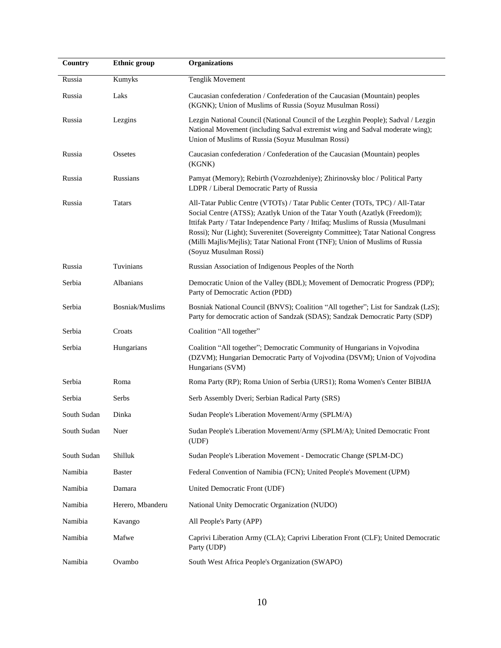| Country     | <b>Ethnic</b> group | <b>Organizations</b>                                                                                                                                                                                                                                                                                                                                                                                                                             |
|-------------|---------------------|--------------------------------------------------------------------------------------------------------------------------------------------------------------------------------------------------------------------------------------------------------------------------------------------------------------------------------------------------------------------------------------------------------------------------------------------------|
| Russia      | Kumyks              | <b>Tenglik Movement</b>                                                                                                                                                                                                                                                                                                                                                                                                                          |
| Russia      | Laks                | Caucasian confederation / Confederation of the Caucasian (Mountain) peoples<br>(KGNK); Union of Muslims of Russia (Soyuz Musulman Rossi)                                                                                                                                                                                                                                                                                                         |
| Russia      | Lezgins             | Lezgin National Council (National Council of the Lezghin People); Sadval / Lezgin<br>National Movement (including Sadval extremist wing and Sadval moderate wing);<br>Union of Muslims of Russia (Soyuz Musulman Rossi)                                                                                                                                                                                                                          |
| Russia      | Ossetes             | Caucasian confederation / Confederation of the Caucasian (Mountain) peoples<br>(KGNK)                                                                                                                                                                                                                                                                                                                                                            |
| Russia      | Russians            | Pamyat (Memory); Rebirth (Vozrozhdeniye); Zhirinovsky bloc / Political Party<br>LDPR / Liberal Democratic Party of Russia                                                                                                                                                                                                                                                                                                                        |
| Russia      | <b>Tatars</b>       | All-Tatar Public Centre (VTOTs) / Tatar Public Center (TOTs, TPC) / All-Tatar<br>Social Centre (ATSS); Azatlyk Union of the Tatar Youth (Azatlyk (Freedom));<br>Ittifak Party / Tatar Independence Party / Ittifaq; Muslims of Russia (Musulmani<br>Rossi); Nur (Light); Suverenitet (Sovereignty Committee); Tatar National Congress<br>(Milli Majlis/Mejlis); Tatar National Front (TNF); Union of Muslims of Russia<br>(Soyuz Musulman Rossi) |
| Russia      | Tuvinians           | Russian Association of Indigenous Peoples of the North                                                                                                                                                                                                                                                                                                                                                                                           |
| Serbia      | Albanians           | Democratic Union of the Valley (BDL); Movement of Democratic Progress (PDP);<br>Party of Democratic Action (PDD)                                                                                                                                                                                                                                                                                                                                 |
| Serbia      | Bosniak/Muslims     | Bosniak National Council (BNVS); Coalition "All together"; List for Sandzak (LzS);<br>Party for democratic action of Sandzak (SDAS); Sandzak Democratic Party (SDP)                                                                                                                                                                                                                                                                              |
| Serbia      | Croats              | Coalition "All together"                                                                                                                                                                                                                                                                                                                                                                                                                         |
| Serbia      | Hungarians          | Coalition "All together"; Democratic Community of Hungarians in Vojvodina<br>(DZVM); Hungarian Democratic Party of Vojvodina (DSVM); Union of Vojvodina<br>Hungarians (SVM)                                                                                                                                                                                                                                                                      |
| Serbia      | Roma                | Roma Party (RP); Roma Union of Serbia (URS1); Roma Women's Center BIBIJA                                                                                                                                                                                                                                                                                                                                                                         |
| Serbia      | Serbs               | Serb Assembly Dveri; Serbian Radical Party (SRS)                                                                                                                                                                                                                                                                                                                                                                                                 |
| South Sudan | Dinka               | Sudan People's Liberation Movement/Army (SPLM/A)                                                                                                                                                                                                                                                                                                                                                                                                 |
| South Sudan | Nuer                | Sudan People's Liberation Movement/Army (SPLM/A); United Democratic Front<br>(UDF)                                                                                                                                                                                                                                                                                                                                                               |
| South Sudan | Shilluk             | Sudan People's Liberation Movement - Democratic Change (SPLM-DC)                                                                                                                                                                                                                                                                                                                                                                                 |
| Namibia     | <b>Baster</b>       | Federal Convention of Namibia (FCN); United People's Movement (UPM)                                                                                                                                                                                                                                                                                                                                                                              |
| Namibia     | Damara              | United Democratic Front (UDF)                                                                                                                                                                                                                                                                                                                                                                                                                    |
| Namibia     | Herero, Mbanderu    | National Unity Democratic Organization (NUDO)                                                                                                                                                                                                                                                                                                                                                                                                    |
| Namibia     | Kavango             | All People's Party (APP)                                                                                                                                                                                                                                                                                                                                                                                                                         |
| Namibia     | Mafwe               | Caprivi Liberation Army (CLA); Caprivi Liberation Front (CLF); United Democratic<br>Party (UDP)                                                                                                                                                                                                                                                                                                                                                  |
| Namibia     | Ovambo              | South West Africa People's Organization (SWAPO)                                                                                                                                                                                                                                                                                                                                                                                                  |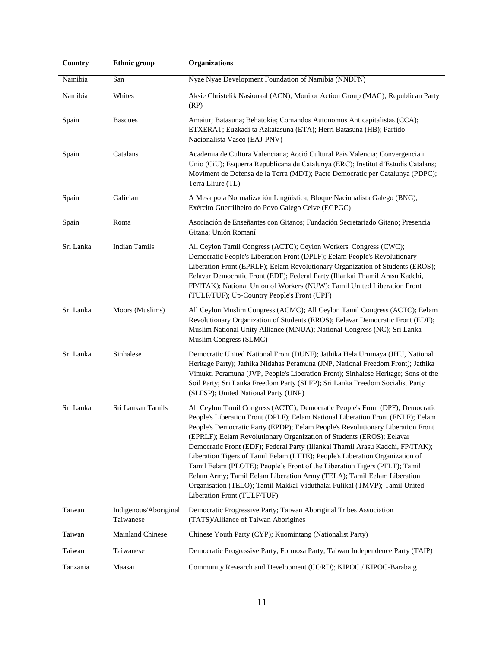| Country   | <b>Ethnic</b> group                | <b>Organizations</b>                                                                                                                                                                                                                                                                                                                                                                                                                                                                                                                                                                                                                                                                                                                                               |
|-----------|------------------------------------|--------------------------------------------------------------------------------------------------------------------------------------------------------------------------------------------------------------------------------------------------------------------------------------------------------------------------------------------------------------------------------------------------------------------------------------------------------------------------------------------------------------------------------------------------------------------------------------------------------------------------------------------------------------------------------------------------------------------------------------------------------------------|
| Namibia   | San                                | Nyae Nyae Development Foundation of Namibia (NNDFN)                                                                                                                                                                                                                                                                                                                                                                                                                                                                                                                                                                                                                                                                                                                |
| Namibia   | Whites                             | Aksie Christelik Nasionaal (ACN); Monitor Action Group (MAG); Republican Party<br>(RP)                                                                                                                                                                                                                                                                                                                                                                                                                                                                                                                                                                                                                                                                             |
| Spain     | <b>Basques</b>                     | Amaiur; Batasuna; Behatokia; Comandos Autonomos Anticapitalistas (CCA);<br>ETXERAT; Euzkadi ta Azkatasuna (ETA); Herri Batasuna (HB); Partido<br>Nacionalista Vasco (EAJ-PNV)                                                                                                                                                                                                                                                                                                                                                                                                                                                                                                                                                                                      |
| Spain     | Catalans                           | Academia de Cultura Valenciana; Acció Cultural Pais Valencia; Convergencia i<br>Unio (CiU); Esquerra Republicana de Catalunya (ERC); Institut d'Estudis Catalans;<br>Moviment de Defensa de la Terra (MDT); Pacte Democratic per Catalunya (PDPC);<br>Terra Lliure (TL)                                                                                                                                                                                                                                                                                                                                                                                                                                                                                            |
| Spain     | Galician                           | A Mesa pola Normalización Lingüística; Bloque Nacionalista Galego (BNG);<br>Exército Guerrilheiro do Povo Galego Ceive (EGPGC)                                                                                                                                                                                                                                                                                                                                                                                                                                                                                                                                                                                                                                     |
| Spain     | Roma                               | Asociación de Enseñantes con Gitanos; Fundación Secretariado Gitano; Presencia<br>Gitana; Unión Romaní                                                                                                                                                                                                                                                                                                                                                                                                                                                                                                                                                                                                                                                             |
| Sri Lanka | <b>Indian Tamils</b>               | All Ceylon Tamil Congress (ACTC); Ceylon Workers' Congress (CWC);<br>Democratic People's Liberation Front (DPLF); Eelam People's Revolutionary<br>Liberation Front (EPRLF); Eelam Revolutionary Organization of Students (EROS);<br>Eelavar Democratic Front (EDF); Federal Party (Illankai Thamil Arasu Kadchi,<br>FP/ITAK); National Union of Workers (NUW); Tamil United Liberation Front<br>(TULF/TUF); Up-Country People's Front (UPF)                                                                                                                                                                                                                                                                                                                        |
| Sri Lanka | Moors (Muslims)                    | All Ceylon Muslim Congress (ACMC); All Ceylon Tamil Congress (ACTC); Eelam<br>Revolutionary Organization of Students (EROS); Eelavar Democratic Front (EDF);<br>Muslim National Unity Alliance (MNUA); National Congress (NC); Sri Lanka<br>Muslim Congress (SLMC)                                                                                                                                                                                                                                                                                                                                                                                                                                                                                                 |
| Sri Lanka | Sinhalese                          | Democratic United National Front (DUNF); Jathika Hela Urumaya (JHU, National<br>Heritage Party); Jathika Nidahas Peramuna (JNP, National Freedom Front); Jathika<br>Vimukti Peramuna (JVP, People's Liberation Front); Sinhalese Heritage; Sons of the<br>Soil Party; Sri Lanka Freedom Party (SLFP); Sri Lanka Freedom Socialist Party<br>(SLFSP); United National Party (UNP)                                                                                                                                                                                                                                                                                                                                                                                    |
| Sri Lanka | Sri Lankan Tamils                  | All Ceylon Tamil Congress (ACTC); Democratic People's Front (DPF); Democratic<br>People's Liberation Front (DPLF); Eelam National Liberation Front (ENLF); Eelam<br>People's Democratic Party (EPDP); Eelam People's Revolutionary Liberation Front<br>(EPRLF); Eelam Revolutionary Organization of Students (EROS); Eelavar<br>Democratic Front (EDF); Federal Party (Illankai Thamil Arasu Kadchi, FP/ITAK);<br>Liberation Tigers of Tamil Eelam (LTTE); People's Liberation Organization of<br>Tamil Eelam (PLOTE); People's Front of the Liberation Tigers (PFLT); Tamil<br>Eelam Army; Tamil Eelam Liberation Army (TELA); Tamil Eelam Liberation<br>Organisation (TELO); Tamil Makkal Viduthalai Pulikal (TMVP); Tamil United<br>Liberation Front (TULF/TUF) |
| Taiwan    | Indigenous/Aboriginal<br>Taiwanese | Democratic Progressive Party; Taiwan Aboriginal Tribes Association<br>(TATS)/Alliance of Taiwan Aborigines                                                                                                                                                                                                                                                                                                                                                                                                                                                                                                                                                                                                                                                         |
| Taiwan    | <b>Mainland Chinese</b>            | Chinese Youth Party (CYP); Kuomintang (Nationalist Party)                                                                                                                                                                                                                                                                                                                                                                                                                                                                                                                                                                                                                                                                                                          |
| Taiwan    | Taiwanese                          | Democratic Progressive Party; Formosa Party; Taiwan Independence Party (TAIP)                                                                                                                                                                                                                                                                                                                                                                                                                                                                                                                                                                                                                                                                                      |
| Tanzania  | Maasai                             | Community Research and Development (CORD); KIPOC / KIPOC-Barabaig                                                                                                                                                                                                                                                                                                                                                                                                                                                                                                                                                                                                                                                                                                  |